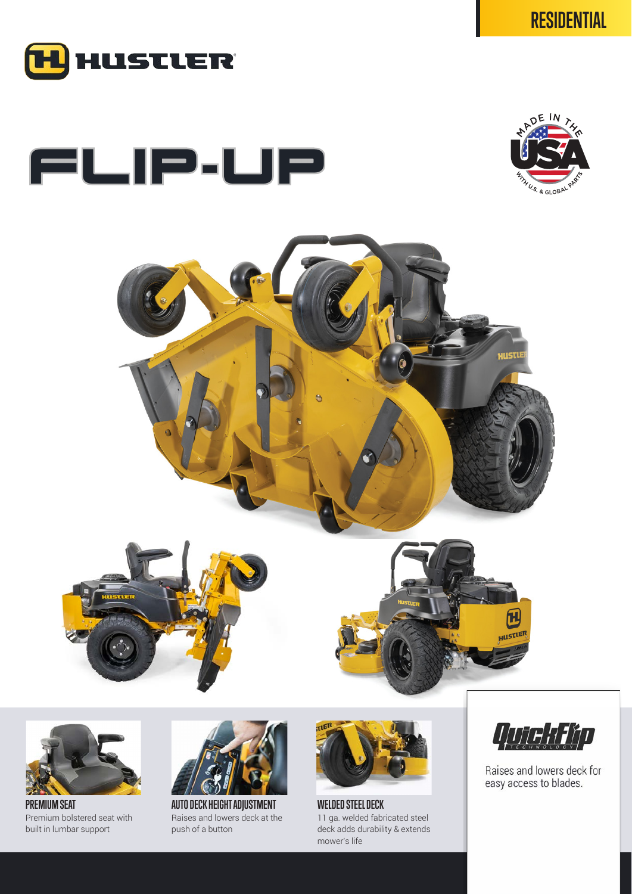

## FLIP-UP







**PREMIUM SEAT** Premium bolstered seat with built in lumbar support



**AUTO DECK HEIGHT ADJUSTMENT** Raises and lowers deck at the push of a button



**WELDED STEEL DECK** 11 ga. welded fabricated steel deck adds durability & extends mower's life



Raises and lowers deck for easy access to blades.